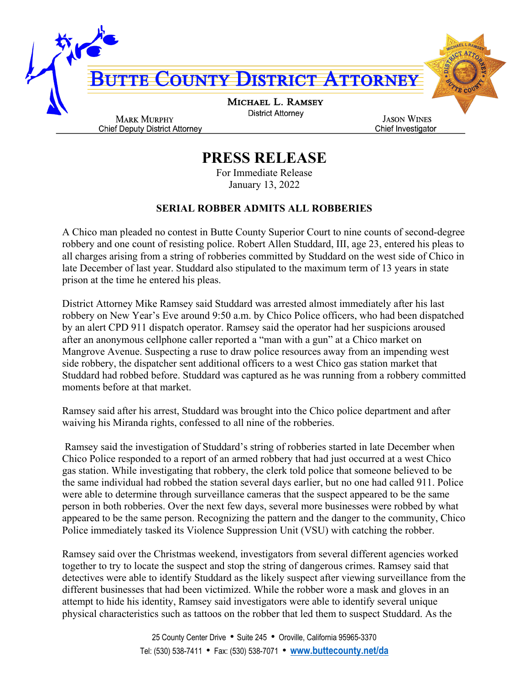

## **PRESS RELEASE**

For Immediate Release January 13, 2022

## **SERIAL ROBBER ADMITS ALL ROBBERIES**

A Chico man pleaded no contest in Butte County Superior Court to nine counts of second-degree robbery and one count of resisting police. Robert Allen Studdard, III, age 23, entered his pleas to all charges arising from a string of robberies committed by Studdard on the west side of Chico in late December of last year. Studdard also stipulated to the maximum term of 13 years in state prison at the time he entered his pleas.

District Attorney Mike Ramsey said Studdard was arrested almost immediately after his last robbery on New Year's Eve around 9:50 a.m. by Chico Police officers, who had been dispatched by an alert CPD 911 dispatch operator. Ramsey said the operator had her suspicions aroused after an anonymous cellphone caller reported a "man with a gun" at a Chico market on Mangrove Avenue. Suspecting a ruse to draw police resources away from an impending west side robbery, the dispatcher sent additional officers to a west Chico gas station market that Studdard had robbed before. Studdard was captured as he was running from a robbery committed moments before at that market.

Ramsey said after his arrest, Studdard was brought into the Chico police department and after waiving his Miranda rights, confessed to all nine of the robberies.

Ramsey said the investigation of Studdard's string of robberies started in late December when Chico Police responded to a report of an armed robbery that had just occurred at a west Chico gas station. While investigating that robbery, the clerk told police that someone believed to be the same individual had robbed the station several days earlier, but no one had called 911. Police were able to determine through surveillance cameras that the suspect appeared to be the same person in both robberies. Over the next few days, several more businesses were robbed by what appeared to be the same person. Recognizing the pattern and the danger to the community, Chico Police immediately tasked its Violence Suppression Unit (VSU) with catching the robber.

Ramsey said over the Christmas weekend, investigators from several different agencies worked together to try to locate the suspect and stop the string of dangerous crimes. Ramsey said that detectives were able to identify Studdard as the likely suspect after viewing surveillance from the different businesses that had been victimized. While the robber wore a mask and gloves in an attempt to hide his identity, Ramsey said investigators were able to identify several unique physical characteristics such as tattoos on the robber that led them to suspect Studdard. As the